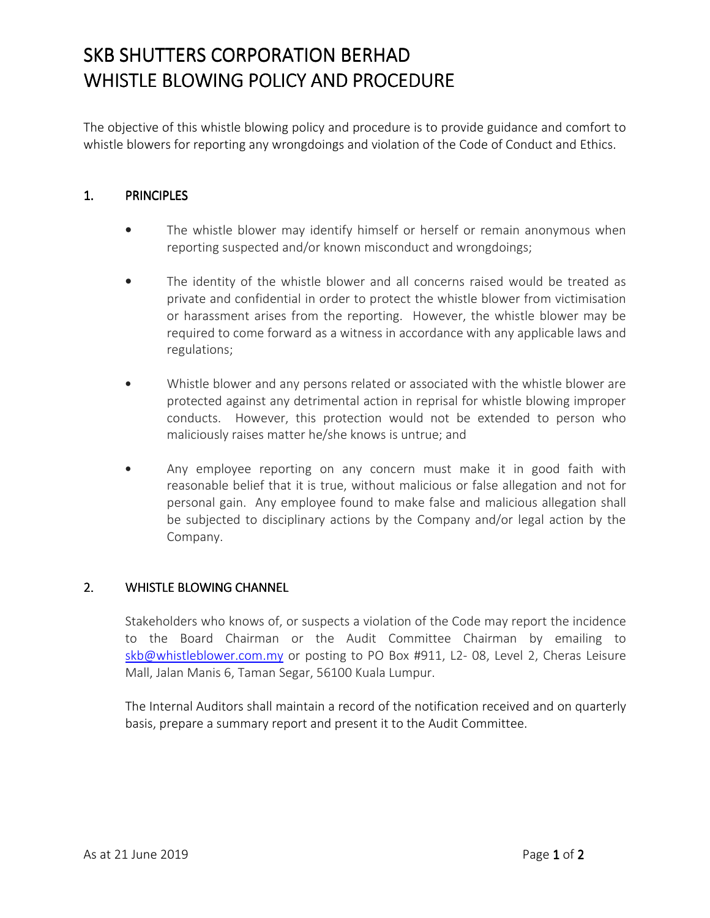# SKB SHUTTERS CORPORATION BERHAD WHISTLE BLOWING POLICY AND PROCEDURE

The objective of this whistle blowing policy and procedure is to provide guidance and comfort to whistle blowers for reporting any wrongdoings and violation of the Code of Conduct and Ethics.

## 1. PRINCIPLES

- The whistle blower may identify himself or herself or remain anonymous when reporting suspected and/or known misconduct and wrongdoings;
- The identity of the whistle blower and all concerns raised would be treated as private and confidential in order to protect the whistle blower from victimisation or harassment arises from the reporting. However, the whistle blower may be required to come forward as a witness in accordance with any applicable laws and regulations;
- Whistle blower and any persons related or associated with the whistle blower are protected against any detrimental action in reprisal for whistle blowing improper conducts. However, this protection would not be extended to person who maliciously raises matter he/she knows is untrue; and
- Any employee reporting on any concern must make it in good faith with reasonable belief that it is true, without malicious or false allegation and not for personal gain. Any employee found to make false and malicious allegation shall be subjected to disciplinary actions by the Company and/or legal action by the Company.

#### 2. WHISTLE BLOWING CHANNEL

Stakeholders who knows of, or suspects a violation of the Code may report the incidence to the Board Chairman or the Audit Committee Chairman by emailing to skb@whistleblower.com.my or posting to PO Box #911, L2- 08, Level 2, Cheras Leisure Mall, Jalan Manis 6, Taman Segar, 56100 Kuala Lumpur.

The Internal Auditors shall maintain a record of the notification received and on quarterly basis, prepare a summary report and present it to the Audit Committee.